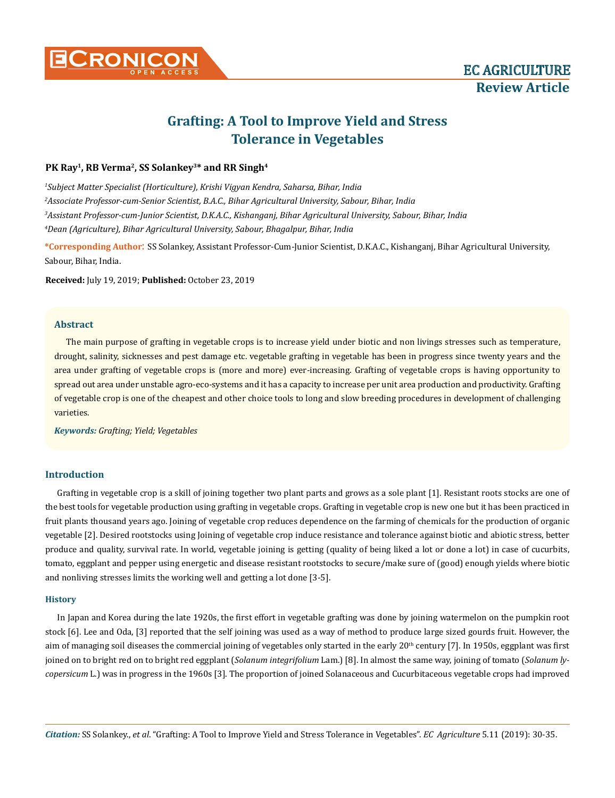

# **Grafting: A Tool to Improve Yield and Stress Tolerance in Vegetables**

# PK Ray<sup>1</sup>, RB Verma<sup>2</sup>, SS Solankey<sup>3\*</sup> and RR Singh<sup>4</sup>

 *Subject Matter Specialist (Horticulture), Krishi Vigyan Kendra, Saharsa, Bihar, India Associate Professor-cum-Senior Scientist, B.A.C., Bihar Agricultural University, Sabour, Bihar, India Assistant Professor-cum-Junior Scientist, D.K.A.C., Kishanganj, Bihar Agricultural University, Sabour, Bihar, India Dean (Agriculture), Bihar Agricultural University, Sabour, Bhagalpur, Bihar, India*

**\*Corresponding Author**: SS Solankey, Assistant Professor-Cum-Junior Scientist, D.K.A.C., Kishanganj, Bihar Agricultural University, Sabour, Bihar, India.

**Received:** July 19, 2019; **Published:** October 23, 2019

# **Abstract**

The main purpose of grafting in vegetable crops is to increase yield under biotic and non livings stresses such as temperature, drought, salinity, sicknesses and pest damage etc. vegetable grafting in vegetable has been in progress since twenty years and the area under grafting of vegetable crops is (more and more) ever-increasing. Grafting of vegetable crops is having opportunity to spread out area under unstable agro-eco-systems and it has a capacity to increase per unit area production and productivity. Grafting of vegetable crop is one of the cheapest and other choice tools to long and slow breeding procedures in development of challenging varieties.

*Keywords: Grafting; Yield; Vegetables*

# **Introduction**

Grafting in vegetable crop is a skill of joining together two plant parts and grows as a sole plant [1]. Resistant roots stocks are one of the best tools for vegetable production using grafting in vegetable crops. Grafting in vegetable crop is new one but it has been practiced in fruit plants thousand years ago. Joining of vegetable crop reduces dependence on the farming of chemicals for the production of organic vegetable [2]. Desired rootstocks using Joining of vegetable crop induce resistance and tolerance against biotic and abiotic stress, better produce and quality, survival rate. In world, vegetable joining is getting (quality of being liked a lot or done a lot) in case of cucurbits, tomato, eggplant and pepper using energetic and disease resistant rootstocks to secure/make sure of (good) enough yields where biotic and nonliving stresses limits the working well and getting a lot done [3-5].

# **History**

In Japan and Korea during the late 1920s, the first effort in vegetable grafting was done by joining watermelon on the pumpkin root stock [6]. Lee and Oda, [3] reported that the self joining was used as a way of method to produce large sized gourds fruit. However, the aim of managing soil diseases the commercial joining of vegetables only started in the early  $20<sup>th</sup>$  century [7]. In 1950s, eggplant was first joined on to bright red on to bright red eggplant (*Solanum integrifolium* Lam.) [8]. In almost the same way, joining of tomato (*Solanum lycopersicum* L.) was in progress in the 1960s [3]. The proportion of joined Solanaceous and Cucurbitaceous vegetable crops had improved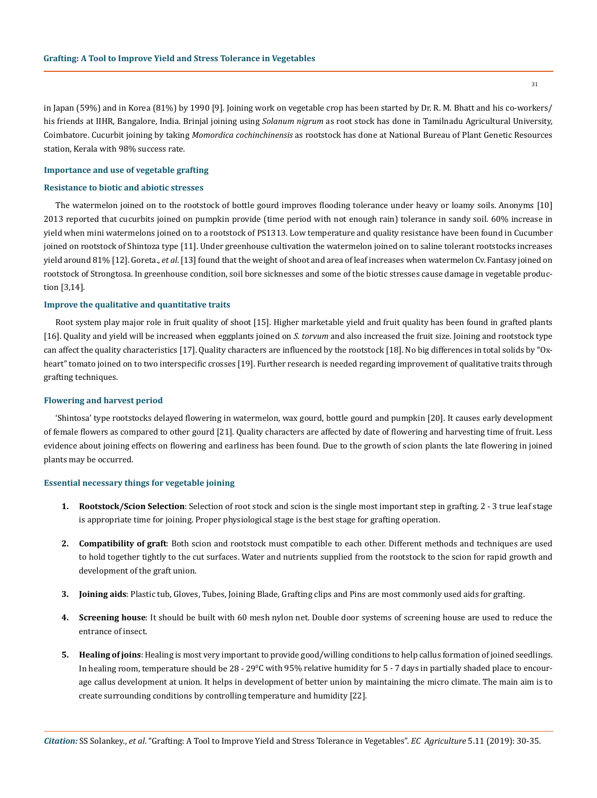in Japan (59%) and in Korea (81%) by 1990 [9]. Joining work on vegetable crop has been started by Dr. R. M. Bhatt and his co-workers/ his friends at IIHR, Bangalore, India. Brinjal joining using *Solanum nigrum* as root stock has done in Tamilnadu Agricultural University, Coimbatore. Cucurbit joining by taking *Momordica cochinchinensis* as rootstock has done at National Bureau of Plant Genetic Resources station, Kerala with 98% success rate.

# **Importance and use of vegetable grafting**

## **Resistance to biotic and abiotic stresses**

The watermelon joined on to the rootstock of bottle gourd improves flooding tolerance under heavy or loamy soils. Anonyms [10] 2013 reported that cucurbits joined on pumpkin provide (time period with not enough rain) tolerance in sandy soil. 60% increase in yield when mini watermelons joined on to a rootstock of PS1313. Low temperature and quality resistance have been found in Cucumber joined on rootstock of Shintoza type [11]. Under greenhouse cultivation the watermelon joined on to saline tolerant rootstocks increases yield around 81% [12]. Goreta., *et al*. [13] found that the weight of shoot and area of leaf increases when watermelon Cv. Fantasy joined on rootstock of Strongtosa. In greenhouse condition, soil bore sicknesses and some of the biotic stresses cause damage in vegetable production [3,14].

#### **Improve the qualitative and quantitative traits**

Root system play major role in fruit quality of shoot [15]. Higher marketable yield and fruit quality has been found in grafted plants [16]. Quality and yield will be increased when eggplants joined on *S. torvum* and also increased the fruit size. Joining and rootstock type can affect the quality characteristics [17]. Quality characters are influenced by the rootstock [18]. No big differences in total solids by "Oxheart" tomato joined on to two interspecific crosses [19]. Further research is needed regarding improvement of qualitative traits through grafting techniques.

#### **Flowering and harvest period**

'Shintosa' type rootstocks delayed flowering in watermelon, wax gourd, bottle gourd and pumpkin [20]. It causes early development of female flowers as compared to other gourd [21]. Quality characters are affected by date of flowering and harvesting time of fruit. Less evidence about joining effects on flowering and earliness has been found. Due to the growth of scion plants the late flowering in joined plants may be occurred.

## **Essential necessary things for vegetable joining**

- **1. Rootstock/Scion Selection**: Selection of root stock and scion is the single most important step in grafting. 2 3 true leaf stage is appropriate time for joining. Proper physiological stage is the best stage for grafting operation.
- **2. Compatibility of graft**: Both scion and rootstock must compatible to each other. Different methods and techniques are used to hold together tightly to the cut surfaces. Water and nutrients supplied from the rootstock to the scion for rapid growth and development of the graft union.
- **3. Joining aids**: Plastic tub, Gloves, Tubes, Joining Blade, Grafting clips and Pins are most commonly used aids for grafting.
- **4. Screening house**: It should be built with 60 mesh nylon net. Double door systems of screening house are used to reduce the entrance of insect.
- **5. Healing of joins**: Healing is most very important to provide good/willing conditions to help callus formation of joined seedlings. In healing room, temperature should be 28 - 29°C with 95% relative humidity for 5 - 7 days in partially shaded place to encourage callus development at union. It helps in development of better union by maintaining the micro climate. The main aim is to create surrounding conditions by controlling temperature and humidity [22].

31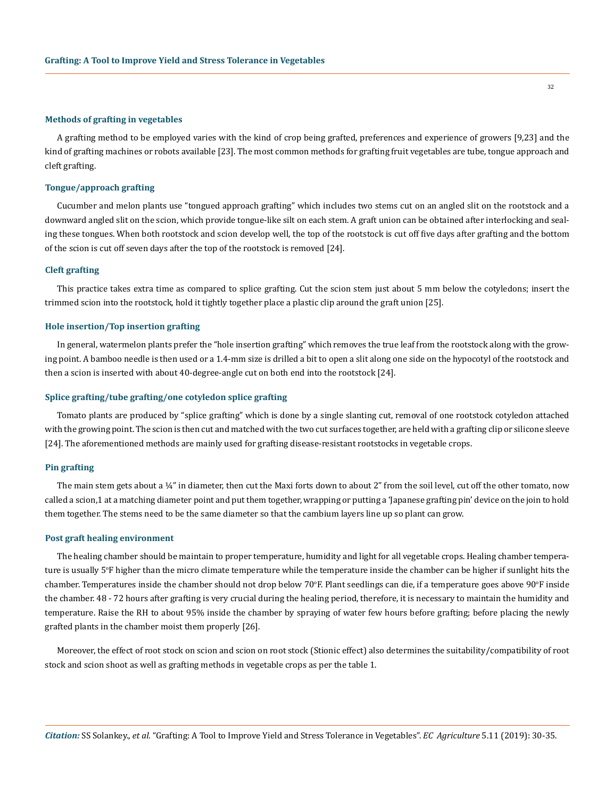#### **Methods of grafting in vegetables**

A grafting method to be employed varies with the kind of crop being grafted, preferences and experience of growers [9,23] and the kind of grafting machines or robots available [23]. The most common methods for grafting fruit vegetables are tube, tongue approach and cleft grafting.

## **Tongue/approach grafting**

Cucumber and melon plants use "tongued approach grafting" which includes two stems cut on an angled slit on the rootstock and a downward angled slit on the scion, which provide tongue-like silt on each stem. A graft union can be obtained after interlocking and sealing these tongues. When both rootstock and scion develop well, the top of the rootstock is cut off five days after grafting and the bottom of the scion is cut off seven days after the top of the rootstock is removed [24].

#### **Cleft grafting**

This practice takes extra time as compared to splice grafting. Cut the scion stem just about 5 mm below the cotyledons; insert the trimmed scion into the rootstock, hold it tightly together place a plastic clip around the graft union [25].

#### **Hole insertion/Top insertion grafting**

In general, watermelon plants prefer the "hole insertion grafting" which removes the true leaf from the rootstock along with the growing point. A bamboo needle is then used or a 1.4-mm size is drilled a bit to open a slit along one side on the hypocotyl of the rootstock and then a scion is inserted with about 40-degree-angle cut on both end into the rootstock [24].

## **Splice grafting/tube grafting/one cotyledon splice grafting**

Tomato plants are produced by "splice grafting" which is done by a single slanting cut, removal of one rootstock cotyledon attached with the growing point. The scion is then cut and matched with the two cut surfaces together, are held with a grafting clip or silicone sleeve [24]. The aforementioned methods are mainly used for grafting disease-resistant rootstocks in vegetable crops.

### **Pin grafting**

The main stem gets about a  $\frac{1}{4}$ " in diameter, then cut the Maxi forts down to about 2" from the soil level, cut off the other tomato, now called a scion,1 at a matching diameter point and put them together, wrapping or putting a 'Japanese grafting pin' device on the join to hold them together. The stems need to be the same diameter so that the cambium layers line up so plant can grow.

## **Post graft healing environment**

The healing chamber should be maintain to proper temperature, humidity and light for all vegetable crops. Healing chamber temperature is usually 5o F higher than the micro climate temperature while the temperature inside the chamber can be higher if sunlight hits the chamber. Temperatures inside the chamber should not drop below 70°F. Plant seedlings can die, if a temperature goes above 90°F inside the chamber. 48 - 72 hours after grafting is very crucial during the healing period, therefore, it is necessary to maintain the humidity and temperature. Raise the RH to about 95% inside the chamber by spraying of water few hours before grafting; before placing the newly grafted plants in the chamber moist them properly [26].

Moreover, the effect of root stock on scion and scion on root stock (Stionic effect) also determines the suitability/compatibility of root stock and scion shoot as well as grafting methods in vegetable crops as per the table 1.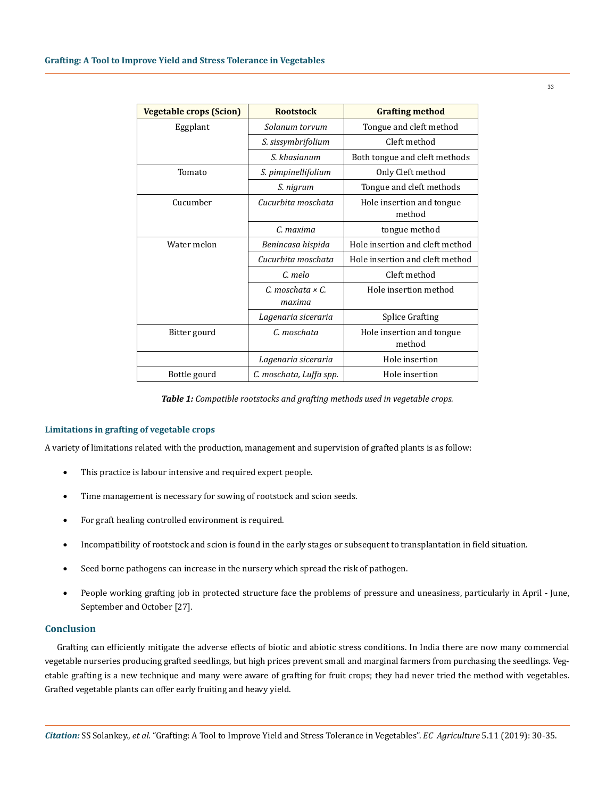| <b>Vegetable crops (Scion)</b> | <b>Rootstock</b>                    | <b>Grafting method</b>              |
|--------------------------------|-------------------------------------|-------------------------------------|
| Eggplant                       | Solanum torvum                      | Tongue and cleft method             |
|                                | S. sissymbrifolium                  | Cleft method                        |
|                                | S. khasianum                        | Both tongue and cleft methods       |
| Tomato                         | S. pimpinellifolium                 | Only Cleft method                   |
|                                | S. nigrum                           | Tongue and cleft methods            |
| Cucumber                       | Cucurbita moschata                  | Hole insertion and tongue<br>method |
|                                | C. maxima                           | tongue method                       |
| Water melon                    | Benincasa hispida                   | Hole insertion and cleft method     |
|                                | Cucurbita moschata                  | Hole insertion and cleft method     |
|                                | C. melo                             | Cleft method                        |
|                                | $C.$ moschata $\times C.$<br>maxima | Hole insertion method               |
|                                | Lagenaria siceraria                 | <b>Splice Grafting</b>              |
| Bitter gourd                   | C. moschata                         | Hole insertion and tongue<br>method |
|                                | Lagenaria siceraria                 | Hole insertion                      |
| Bottle gourd                   | C. moschata, Luffa spp.             | Hole insertion                      |

*Table 1: Compatible rootstocks and grafting methods used in vegetable crops.*

## **Limitations in grafting of vegetable crops**

A variety of limitations related with the production, management and supervision of grafted plants is as follow:

- This practice is labour intensive and required expert people.
- Time management is necessary for sowing of rootstock and scion seeds.
- • For graft healing controlled environment is required.
- Incompatibility of rootstock and scion is found in the early stages or subsequent to transplantation in field situation.
- Seed borne pathogens can increase in the nursery which spread the risk of pathogen.
- People working grafting job in protected structure face the problems of pressure and uneasiness, particularly in April June, September and October [27].

# **Conclusion**

Grafting can efficiently mitigate the adverse effects of biotic and abiotic stress conditions. In India there are now many commercial vegetable nurseries producing grafted seedlings, but high prices prevent small and marginal farmers from purchasing the seedlings. Vegetable grafting is a new technique and many were aware of grafting for fruit crops; they had never tried the method with vegetables. Grafted vegetable plants can offer early fruiting and heavy yield.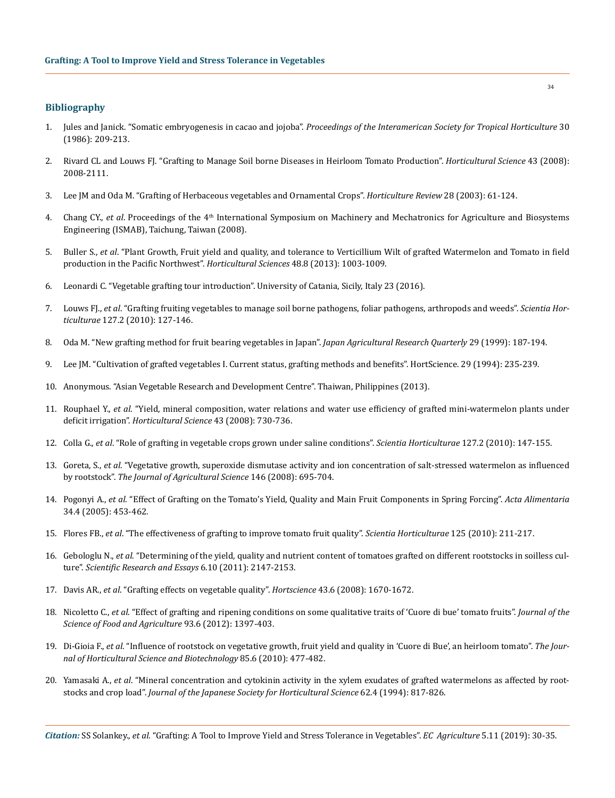## **Bibliography**

- 1. Jules and Janick. "Somatic embryogenesis in cacao and jojoba". *Proceedings of the Interamerican Society for Tropical Horticulture* 30 (1986): 209-213.
- 2. [Rivard CL and Louws FJ. "Grafting to Manage Soil borne Diseases in Heirloom Tomato Production".](https://journals.ashs.org/hortsci/view/journals/hortsci/43/7/article-p2104.xml) *Horticultural Science* 43 (2008): [2008-2111.](https://journals.ashs.org/hortsci/view/journals/hortsci/43/7/article-p2104.xml)
- 3. [Lee JM and Oda M. "Grafting of Herbaceous vegetables and Ornamental Crops".](https://www.researchgate.net/publication/229775364_Grafting_of_Herbaceous_Vegetable_and_Ornamental_Crops) *Horticulture Review* 28 (2003): 61-124.
- 4. Chang CY., *et al.* Proceedings of the 4<sup>th</sup> International Symposium on Machinery and Mechatronics for Agriculture and Biosystems Engineering (ISMAB), Taichung, Taiwan (2008).
- 5. Buller S., *et al*[. "Plant Growth, Fruit yield and quality, and tolerance to Verticillium Wilt of grafted Watermelon and Tomato in field](https://www.researchgate.net/publication/330791493_Plant_Growth_Fruit_Yield_and_Quality_and_Tolerance_to_Verticillium_Wilt_of_Grafted_Watermelon_and_Tomato_in_Field_Production_in_the_Pacific_Northwest)  [production in the Pacific Northwest".](https://www.researchgate.net/publication/330791493_Plant_Growth_Fruit_Yield_and_Quality_and_Tolerance_to_Verticillium_Wilt_of_Grafted_Watermelon_and_Tomato_in_Field_Production_in_the_Pacific_Northwest) *Horticultural Sciences* 48.8 (2013): 1003-1009.
- 6. Leonardi C. "Vegetable grafting tour introduction". University of Catania, Sicily, Italy 23 (2016).
- 7. Louws FJ., *et al*[. "Grafting fruiting vegetables to manage soil borne pathogens, foliar pathogens, arthropods and weeds".](https://www.sciencedirect.com/science/article/pii/S0304423810004462) *Scientia Horticulturae* [127.2 \(2010\): 127-146.](https://www.sciencedirect.com/science/article/pii/S0304423810004462)
- 8. [Oda M. "New grafting method for fruit bearing vegetables in Japan".](C://Users/ACT/Downloads/29-3-187-194_0.pdf) *Japan Agricultural Research Quarterly* 29 (1999): 187-194.
- 9. [Lee JM. "Cultivation of grafted vegetables I. Current status, grafting methods and benefits". HortScience. 29 \(1994\): 235-239.](https://pdfs.semanticscholar.org/b859/aa1f46f10d68a4cbe4f1a53e22e316576835.pdf)
- 10. Anonymous. "Asian Vegetable Research and Development Centre". Thaiwan, Philippines (2013).
- 11. Rouphael Y., *et al*[. "Yield, mineral composition, water relations and water use efficiency of grafted mini-watermelon plants under](https://www.researchgate.net/publication/270568394_Yield_Mineral_Composition_Water_Relations_and_Water_Use_Efficiency_of_Grafted_Mini-watermelon_Plants_Under_Deficit_Irrigation)  deficit irrigation". *[Horticultural Science](https://www.researchgate.net/publication/270568394_Yield_Mineral_Composition_Water_Relations_and_Water_Use_Efficiency_of_Grafted_Mini-watermelon_Plants_Under_Deficit_Irrigation)* 43 (2008): 730-736.
- 12. Colla G., *et al*[. "Role of grafting in vegetable crops grown under saline conditions".](https://www.sciencedirect.com/science/article/pii/S0304423810003705) *Scientia Horticulturae* 127.2 (2010): 147-155.
- 13. Goreta, S., *et al*[. "Vegetative growth, superoxide dismutase activity and ion concentration of salt-stressed watermelon as influenced](https://www.cambridge.org/core/journals/journal-of-agricultural-science/article/vegetative-growth-superoxide-dismutase-activity-and-ion-concentration-of-saltstressed-watermelon-as-influenced-by-rootstock/2B6B98F57A3DDFB7E0F44B1A78CC2914)  by rootstock". *[The Journal of Agricultural Science](https://www.cambridge.org/core/journals/journal-of-agricultural-science/article/vegetative-growth-superoxide-dismutase-activity-and-ion-concentration-of-saltstressed-watermelon-as-influenced-by-rootstock/2B6B98F57A3DDFB7E0F44B1A78CC2914)* 146 (2008): 695-704.
- 14. Pogonyi A., *et al*[. "Effect of Grafting on the Tomato's Yield, Quality and Main Fruit Components in Spring Forcing".](https://www.researchgate.net/publication/216184565_Effect_of_grafting_on_the_tomato) *Acta Alimentaria* [34.4 \(2005\): 453-462.](https://www.researchgate.net/publication/216184565_Effect_of_grafting_on_the_tomato)
- 15. Flores FB., *et al*[. "The effectiveness of grafting to improve tomato fruit quality".](https://www.sciencedirect.com/science/article/pii/S030442381000138X) *Scientia Horticulturae* 125 (2010): 211-217.
- 16. Gebologlu N., *et al*[. "Determining of the yield, quality and nutrient content of tomatoes grafted on different rootstocks in soilless cul](https://www.researchgate.net/publication/267237829_Determining_of_the_yield_quality_and_nutrient_content_of_tomatoes_grafted_on_different_rootstocks_in_soilless_culture)ture". *[Scientific Research and Essays](https://www.researchgate.net/publication/267237829_Determining_of_the_yield_quality_and_nutrient_content_of_tomatoes_grafted_on_different_rootstocks_in_soilless_culture)* 6.10 (2011): 2147-2153.
- 17. Davis AR., *et al*[. "Grafting effects on vegetable quality".](https://journals.ashs.org/hortsci/view/journals/hortsci/43/6/article-p1670.xml) *Hortscience* 43.6 (2008): 1670-1672.
- 18. Nicoletto C., *et al*[. "Effect of grafting and ripening conditions on some qualitative traits of 'Cuore di bue' tomato fruits".](https://www.ncbi.nlm.nih.gov/pubmed/23070949) *Journal of the [Science of Food and Agriculture](https://www.ncbi.nlm.nih.gov/pubmed/23070949)* 93.6 (2012): 1397-403.
- 19. Di-Gioia F., *et al*[. "Influence of rootstock on vegetative growth, fruit yield and quality in 'Cuore di Bue', an heirloom tomato".](https://www.researchgate.net/publication/224936263_Influence_of_rootstock_on_vegetative_growth_fruit_yield_and_quality_in_) *The Jour[nal of Horticultural Science and Biotechnology](https://www.researchgate.net/publication/224936263_Influence_of_rootstock_on_vegetative_growth_fruit_yield_and_quality_in_)* 85.6 (2010): 477-482.
- 20. Yamasaki A., *et al*[. "Mineral concentration and cytokinin activity in the xylem exudates of grafted watermelons as affected by root](https://www.jstage.jst.go.jp/article/jjshs1925/62/4/62_4_817/_article)stocks and crop load". *[Journal of the Japanese Society for Horticultural Science](https://www.jstage.jst.go.jp/article/jjshs1925/62/4/62_4_817/_article)* 62.4 (1994): 817-826.